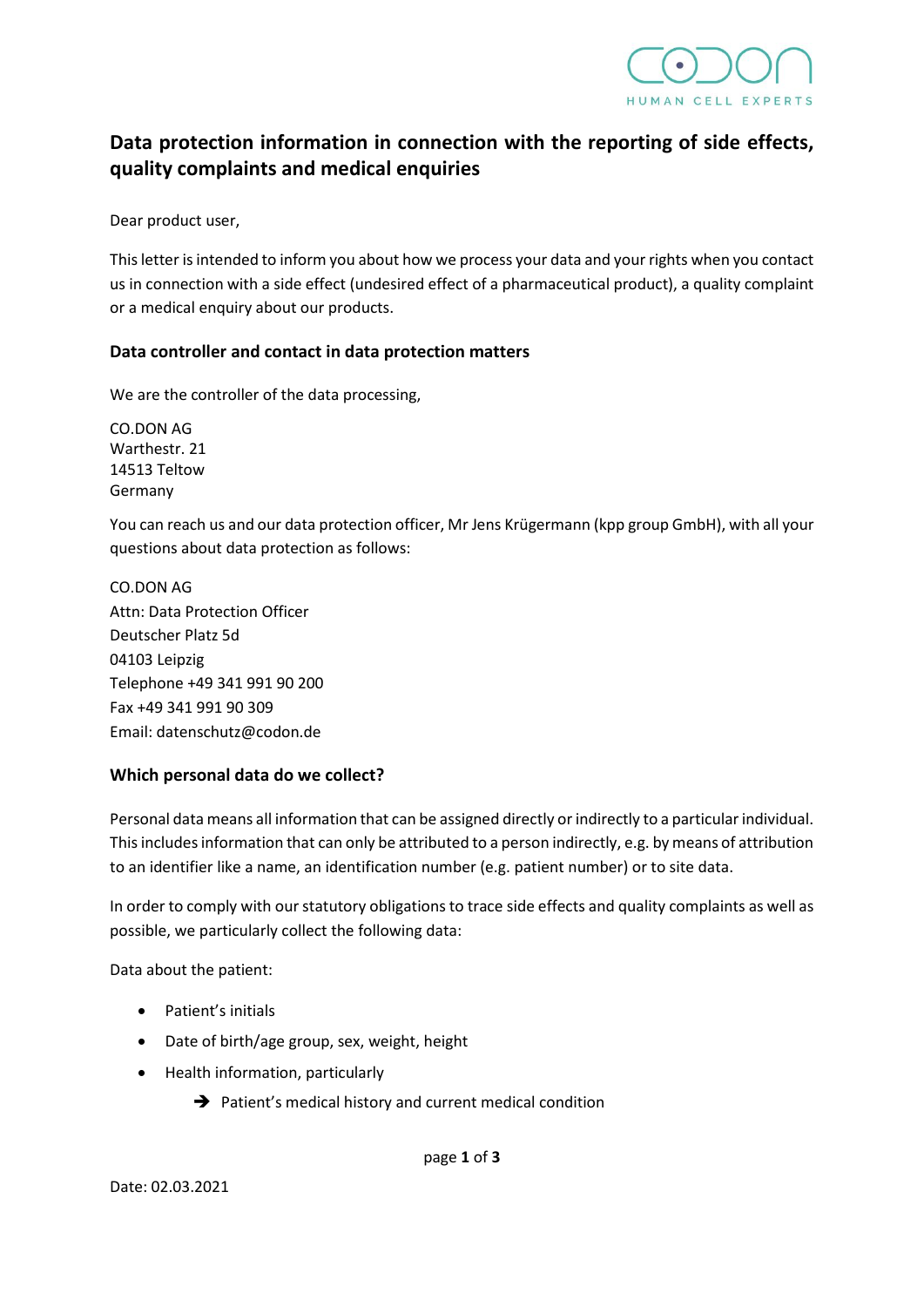

# **Data protection information in connection with the reporting of side effects, quality complaints and medical enquiries**

Dear product user,

This letter is intended to inform you about how we process your data and your rights when you contact us in connection with a side effect (undesired effect of a pharmaceutical product), a quality complaint or a medical enquiry about our products.

## **Data controller and contact in data protection matters**

We are the controller of the data processing,

CO.DON AG Warthestr. 21 14513 Teltow Germany

You can reach us and our data protection officer, Mr Jens Krügermann (kpp group GmbH), with all your questions about data protection as follows:

CO.DON AG Attn: Data Protection Officer Deutscher Platz 5d 04103 Leipzig Telephone +49 341 991 90 200 Fax +49 341 991 90 309 Email: datenschutz@codon.de

## **Which personal data do we collect?**

Personal data means all information that can be assigned directly or indirectly to a particular individual. This includes information that can only be attributed to a person indirectly, e.g. by means of attribution to an identifier like a name, an identification number (e.g. patient number) or to site data.

In order to comply with our statutory obligations to trace side effects and quality complaints as well as possible, we particularly collect the following data:

Data about the patient:

- Patient's initials
- Date of birth/age group, sex, weight, height
- Health information, particularly
	- ➔ Patient's medical history and current medical condition

page **1** of **3**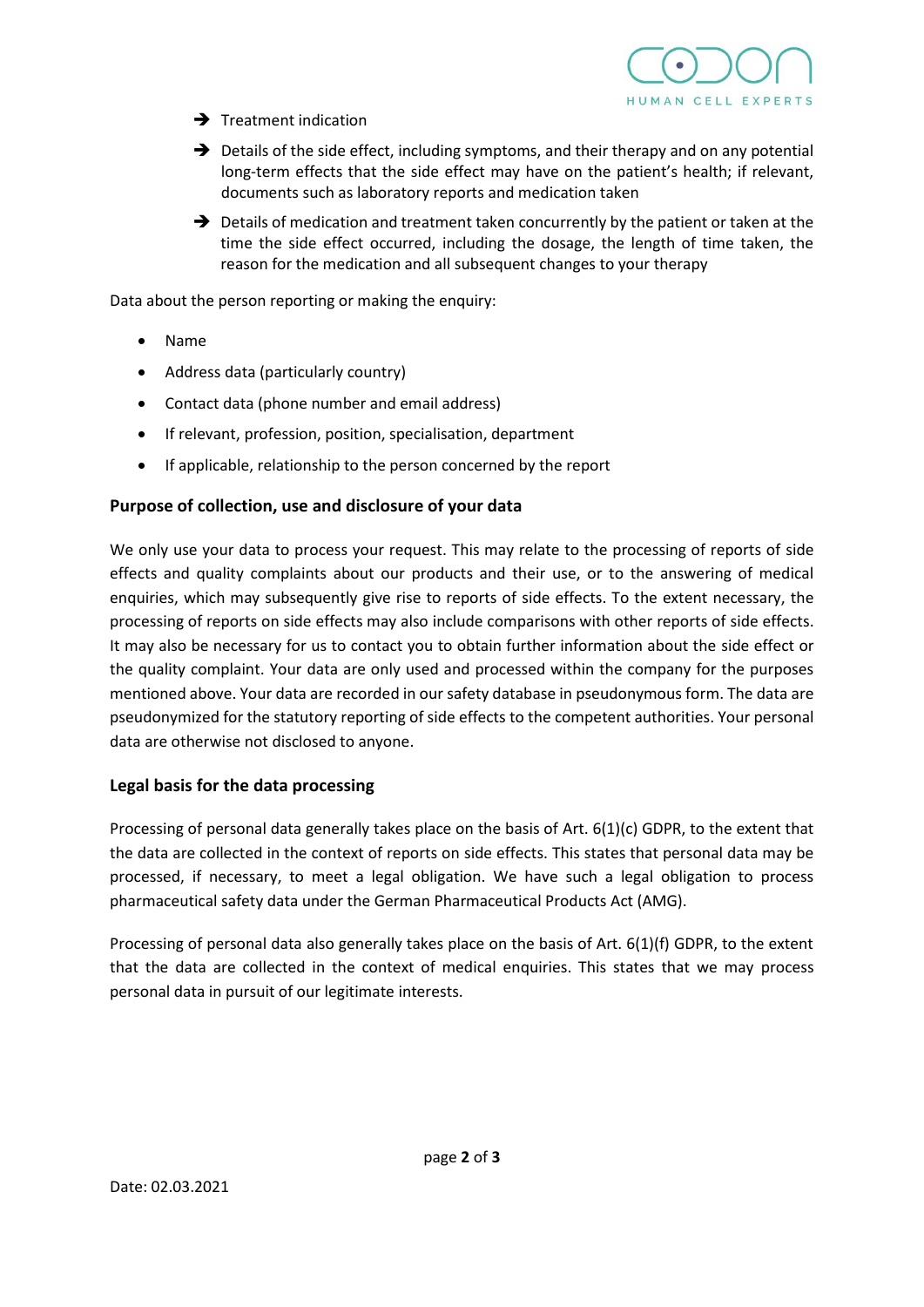

- $\rightarrow$  Treatment indication
- $\rightarrow$  Details of the side effect, including symptoms, and their therapy and on any potential long-term effects that the side effect may have on the patient's health; if relevant, documents such as laboratory reports and medication taken
- → Details of medication and treatment taken concurrently by the patient or taken at the time the side effect occurred, including the dosage, the length of time taken, the reason for the medication and all subsequent changes to your therapy

Data about the person reporting or making the enquiry:

- Name
- Address data (particularly country)
- Contact data (phone number and email address)
- If relevant, profession, position, specialisation, department
- If applicable, relationship to the person concerned by the report

## **Purpose of collection, use and disclosure of your data**

We only use your data to process your request. This may relate to the processing of reports of side effects and quality complaints about our products and their use, or to the answering of medical enquiries, which may subsequently give rise to reports of side effects. To the extent necessary, the processing of reports on side effects may also include comparisons with other reports of side effects. It may also be necessary for us to contact you to obtain further information about the side effect or the quality complaint. Your data are only used and processed within the company for the purposes mentioned above. Your data are recorded in our safety database in pseudonymous form. The data are pseudonymized for the statutory reporting of side effects to the competent authorities. Your personal data are otherwise not disclosed to anyone.

## **Legal basis for the data processing**

Processing of personal data generally takes place on the basis of Art. 6(1)(c) GDPR, to the extent that the data are collected in the context of reports on side effects. This states that personal data may be processed, if necessary, to meet a legal obligation. We have such a legal obligation to process pharmaceutical safety data under the German Pharmaceutical Products Act (AMG).

Processing of personal data also generally takes place on the basis of Art. 6(1)(f) GDPR, to the extent that the data are collected in the context of medical enquiries. This states that we may process personal data in pursuit of our legitimate interests.